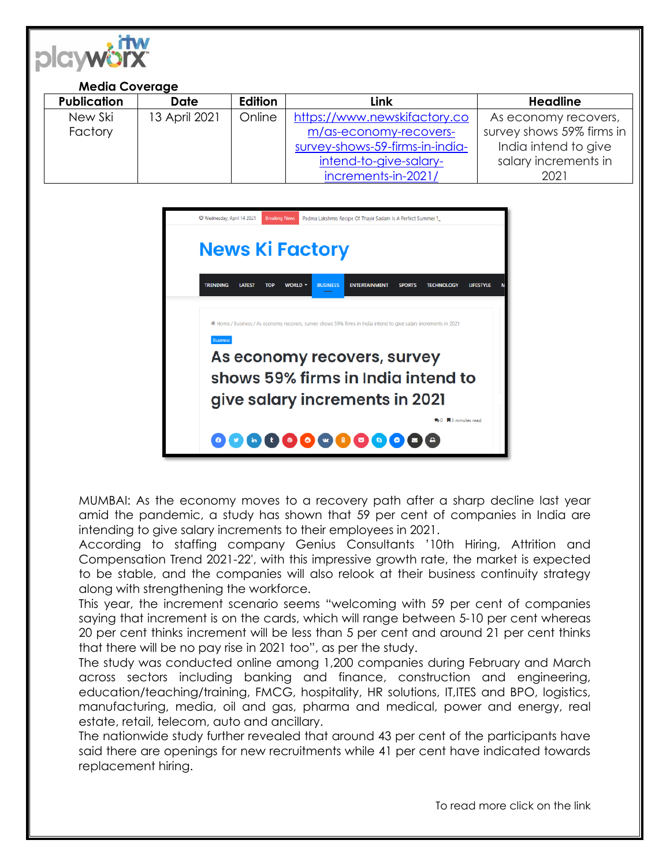

## **Media Coverage**

| <b>Publication</b> | <b>Date</b>   | <b>Edition</b> | Link                            | <b>Headline</b>           |
|--------------------|---------------|----------------|---------------------------------|---------------------------|
| New Ski            | 13 April 2021 | Online         | https://www.newskifactory.co    | As economy recovers,      |
| Factory            |               |                | m/as-economy-recovers-          | survey shows 59% firms in |
|                    |               |                | survey-shows-59-firms-in-india- | India intend to give      |
|                    |               |                | intend-to-give-salary-          | salary increments in      |
|                    |               |                | increments-in-2021/             | 2021                      |



MUMBAI: As the economy moves to a recovery path after a sharp decline last year amid the pandemic, a study has shown that 59 per cent of companies in India are intending to give salary increments to their employees in 2021.

According to staffing company Genius Consultants '10th Hiring, Attrition and Compensation Trend 2021-22′, with this impressive growth rate, the market is expected to be stable, and the companies will also relook at their business continuity strategy along with strengthening the workforce.

This year, the increment scenario seems "welcoming with 59 per cent of companies saying that increment is on the cards, which will range between 5-10 per cent whereas 20 per cent thinks increment will be less than 5 per cent and around 21 per cent thinks that there will be no pay rise in 2021 too", as per the study.

The study was conducted online among 1,200 companies during February and March across sectors including banking and finance, construction and engineering, education/teaching/training, FMCG, hospitality, HR solutions, IT,ITES and BPO, logistics, manufacturing, media, oil and gas, pharma and medical, power and energy, real estate, retail, telecom, auto and ancillary.

The nationwide study further revealed that around 43 per cent of the participants have said there are openings for new recruitments while 41 per cent have indicated towards replacement hiring.

To read more click on the link